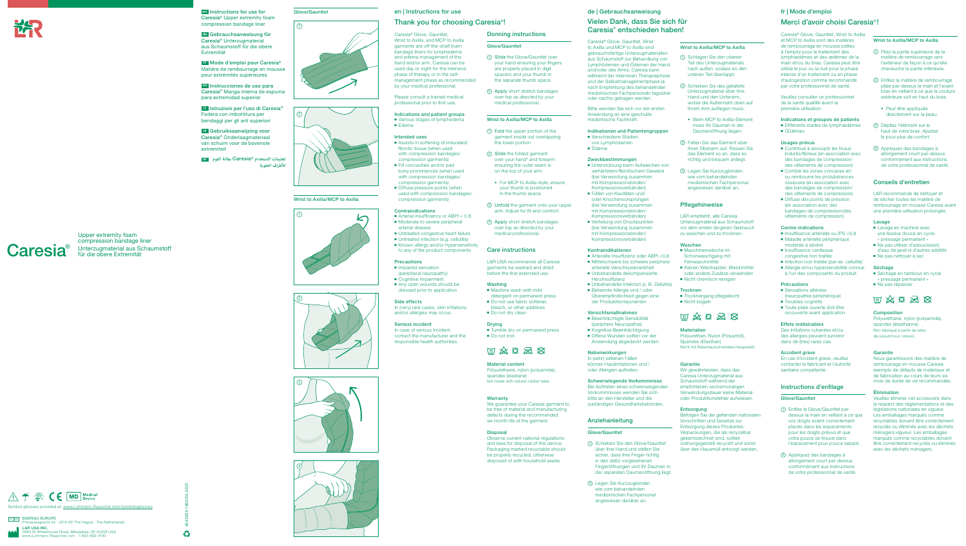#### en | Instructions for use

#### Thank you for choosing Caresia® !

Caresia® Glove, Gauntlet, Wrist to Axilla, and MCP to Axilla garments are off-the-shelf foam bandage liners for lymphedema and edema management of the hand and/or arm. Caresia can be used day or night for the intensive phase of therapy or in the selfmanagement phase as recommended by your medical professional.

Please consult a trained medical professional prior to first use.

- Assists in softening of indurated/ fibrotic tissue (when used with compression bandages/ compression garments)
- Fill concavities and/or pad bony prominences (when used with compression bandages/ compression garments)
- Diffuse pressure points (when used with compression bandages/ compression garments)

Indications and patient groups ■ Various stages of lymphedema ■ Edema

#### Intended uses

- Arterial insufficiency or ABPI < 0.8 ■ Moderate to severe peripheral arterial disease
- Untreated congestive heart failure
- Untreated infection (e.g. cellulitis)
- Known allergy and/or hypersensitivity to any of the product components

#### **Precautions**

- Impaired sensation (peripheral neuropathy)
- Cognitive impairment ■ Any open wounds should be dressed prior to application

In case of serious incident. contact the manufacturer and the responsible health authorities.

## $\text{W} \otimes \text{S} \otimes \text{S}$

#### Contraindications

#### Side effects

In (very) rare cases, skin irritations and/or allergies may occur.

#### Serious incident

We guarantee your Caresia garment to be free of material and manufacturing defects during the recommended six month life of the garment.

Donning instructions

Glove/Gauntlet

1 Slide the Glove/Gauntlet over your hand ensuring your fingers are properly placed in digit spacers and your thumb in the separate thumb space. 2 Apply short stretch bandages over top as directed by your medical professional.

Wrist to Axilla/MCP to Axilla 1 Fold the upper portion of the garment inside out overlapping

the lower portion. 2 Slide the folded garment over your hand<sup>\*</sup> and forearm ensuring the outer seam is on the top of your arm.

◆ For MCP to Axilla style, ensure your thumb is positioned in the thumb space.

3 Unfold the garment onto your upper arm. Adjust for fit and comfort. 4 Apply short stretch bandages over top as directed by your medical professional.

Care instructions

■ Machine wash with mild detergent on permanent press ■ Do not use fabric softener, bleach, or other additives ■ Do not dry clean

- Beeinträchtigte Sensibilität (periphere Neuropathie)
- Kognitive Beeinträchtigung
- Offene Wunden sollten vor der Anwendung abgedeckt werden

L&R USA recommends all Caresia garments be washed and dried before the first extended use.

Washing

Drying

■ Do not iron

#### Material content

Polyurethane, nylon (polyamide), spandex (elastane) Not made with natural rubber latex.

■ Tumble dry on permanent press

#### Warranty

#### Disposal

Observe current national regulations and laws for disposal of this device. Packaging marked recyclable should be properly recycled, otherwise disposed of with household waste.

# **Caresia**®

#### de | Gebrauchsanweisung

Polyurethan, Nylon (Polyamid), Spandex (Elasthan) Nicht mit Naturkautschuklatex hergestell

#### Vielen Dank, dass Sie sich für Caresia® entschieden haben!

Caresia® Glove, Gauntlet, Wrist to Axilla und MCP to Axilla sind gebrauchsfertige Unterzugmaterialien aus Schaumstoff zur Behandlung von Lymphödemen und Ödemen der Hand und/oder des Arms. Caresia kann während der intensiven Therapiephase und der Selbstmanagementphase je nach Empfehlung des behandelnden medizinischen Fachpersonals tagsüber oder nachts getragen werden.

Bitte wenden Sie sich vor der ersten Anwendung an eine geschulte medizinische Fachkraft.

#### Indikationen und Patientengruppen

■ Différents stades de lymphœdèmes ■ Œdèmes

- Verschiedene Stadien von Lymphödemen
- Ödeme

#### Zweckbestimmungen

- Contribue à assouplir les tissus indurés/fibreux (en association avec des bandages de compression/ des vêtements de compression)
- Comble les zones concaves et/ ou rembourre les protubérances osseuses (en association avec des bandages de compression/ des vêtements de compression)
- Diffuse des points de pression (en association avec des bandages de compression/des vêtements de compression)
- Unterstützung beim Aufweichen von verhärtetem/fibrotischem Gewebe (bei Verwendung zusammen mit Kompressionsbinden/ Kompressionsverbänden)
- Füllen von Kavitäten und/ oder Knochenvorsprüngen (bei Verwendung zusammen mit Kompressionsbinden/ Kompressionsverbänden)
- Verteilung von Druckpunkten (bei Verwendung zusammen mit Kompressionsbinden/ Kompressionsverbänden)
- Insuffisance artérielle ou IPS <0.8 ■ Maladie artérielle périphérique modérée à sévère
- Insuffisance cardiaque congestive non traitée
- Infection non traitée (par ex. cellulite) ■ Allergie et/ou hypersensibilité connue
- à l'un des composants du produit

- Sensations altérées (neuropathie périphérique)
- Troubles cognitifs ■ Toute plaie ouverte doit être
- recouverte avant application

#### Kontraindikationen

- Arterielle Insuffizienz oder ABPI <0,8 ■ Mittelschwere bis schwere periphere arterielle Verschlusskrankheit
- Unbehandelte dekompensierte Herzinsuffizienz
- Unbehandelte Infektion (z. B. Zellulitis)
- Bekannte Allergie und / oder Überempfindlichkeit gegen eine der Produktkomponenten
- 1 Pliez la partie supérieure de la matière de rembourrage vers l'extérieur de façon à ce qu'elle chevauche la partie inférieure.
- 2 Enfilez la matière de rembourrage pliée par-dessus la main et l'avantbras en veillant à ce que la couture extérieure soit en haut du bras.
- ◆ Peut être appliquée directement sur la peau.
- 3 Dépliez l'élément sur le haut de votre bras. Ajustezle pour plus de confort.
- 4 Appliquez des bandages à allongement court par-dessus conformément aux instructions de votre professionnel de santé

#### Vorsichtsmaßnahmen

#### Nebenwirkungen

In (sehr) seltenen Fällen können Hautirritationen und / oder Allergien auftreten.

#### Schwerwiegende Vorkommnisse

Bei Auftreten eines schwerwiegenden Vorkommnisses wenden Sie sich bitte an den Hersteller und die zuständigen Gesundheitsbehörden.

- Lavage en machine avec une lessive douce en cycle « pressage permanent »
- Ne pas utiliser d'adoucissant d'eau de javel ni d'autres additifs
- Ne pas nettoyer à sec

#### **Séchage**

#### Anziehanleitung

- Séchage en tambour en cycle « pressage permanent »
- Ne pas repasser



#### Glove/Gauntlet

- 1 Schieben Sie den Glove/Gauntlet über Ihre Hand und stellen Sie sicher, dass Ihre Finger richtig in den dafür vorgesehenen Fingeröffnungen und Ihr Daumen in der separaten Daumenöffnung liegt.
- 2 Legen Sie Kurzzugbinden wie vom behandelnden medizinischen Fachpersonal angewiesen darüber an.

#### Wrist to Axilla/MCP to Axilla

- 1 Schlagen Sie den oberen Teil des Unterzugmaterials nach außen, sodass es den unteren Teil überlappt.
- 2 Schieben Sie das gefaltete Unterzugmaterial über Ihre Hand und den Unterarm, wobei die Außennaht oben auf Ihrem Arm aufliegen muss.
- ◆ Beim MCP to Axilla-Element muss Ihr Daumen in der Daumenöffnung liegen.
- 3 Falten Sie das Element über Ihren Oberarm auf. Passen Sie das Element so an, dass es richtig und bequem anliegt.
- 4 Legen Sie Kurzzugbinden wie vom behandelnden medizinischen Fachpersonal angewiesen darüber an.

4043024 1462/05-2021  $\frac{1}{2}$ 











EC REP EMERGO EUROPE O EUNUFE<br>segracht 20 · 2514 AP The Hague · The Netherlands L&R USA INC.<br>3880 W Wheelhowww.Lohmann-3880 W Wheelhouse Road, Milwaukee, WI 53208 USA www.Lohmann-Rauscher.com · 1-855-892-4140

#### Pflegehinweise

L&R empfiehlt, alle Caresia Unterzugmaterial aus Schaumstoff vor dem ersten längeren Gebrauch zu waschen und zu trocknen.

#### Waschen

- Maschinenwäsche im Schonwaschgang mit Feinwaschmittel
- Keinen Weichspüler, Bleichmittel oder andere Zusätze verwenden
- Nicht chemisch reinigen

#### **Trocknen**

■ Trocknergang pflegeleicht ■ Nicht bügeln



#### **Materialien**

#### Garantie

Wir gewährleisten, dass das Caresia Unterzugmaterial aus Schaumstoff während der empfohlenen sechsmonatigen Verwendungsdauer keine Materialoder Produktionsfehler aufweisen.

#### Entsorgung

Befolgen Sie die geltenden nationalen Vorschriften und Gesetze zur Entsorgung dieses Produktes. Verpackungen, die als recycelbar gekennzeichnet sind, sollten ordnungsgemäß recycelt und sonst über den Hausmüll entsorgt werden.

# fr | Mode d'emploi

### Merci d'avoir choisi Caresia® !

Caresia® Glove, Gauntlet, Wrist to Axilla et MCP to Axilla sont des matières de rembourrage en mousse prêtes à l'emploi pour le traitement des lymphœdèmes et des œdèmes de la main et/ou du bras. Caresia peut être utilisé le jour ou la nuit pour la phase intense d'un traitement ou en phase d'autogestion comme recommandé par votre professionnel de santé.

Veuillez consulter un professionnel de la santé qualifié avant la première utilisation.

#### Indications et groupes de patients

#### Usages prévus

#### Contre-indications

#### Précautions

#### Effets indésirables

Des irritations cutanées et/ou des allergies peuvent survenir dans de (très) rares cas.

#### Accident grave

En cas d'incident grave, veuillez contacter le fabricant et l'autorité sanitaire compétente.

#### Instructions d'enfilage

#### Glove/Gauntlet

- 1 Enfilez le Glove/Gauntlet pardessus la main en veillant à ce que vos doigts soient correctement placés dans les espacements pour les doigts prévus et que votre pouce se trouve dans l'espacement pour pouce séparé.
- 2 Appliquez des bandages à allongement court par-dessus conformément aux instructions de votre professionnel de santé.

#### Wrist to Axilla/MCP to Axilla

#### Conseils d'entretien

L&R recommande de nettoyer et de sécher toutes les matière de rembourrage en mousse Caresia avant une première utilisation prolongée.

#### **Lavage**

#### Composition

Polyuréthane, nylon (polyamide), spandex (élasthanne) Non fabriqué à partir de latex de caoutchouc naturel.

#### Garantie

Nous garantissons des matière de rembourrage en mousse Caresia exempts de défauts de matériaux et de fabrication au cours de leurs six mois de durée de vie recommandée.

#### Élimination

Veuillez éliminer cet accessoire dans le respect des réglementations et des législations nationales en vigueur. Les emballages marqués comme recyclables doivent être correctement recyclés ou éliminés avec les déchets ménagers.vigueur. Les emballages marqués comme recyclables doivent être correctement recyclés ou éliminés avec les déchets ménagers.

Upper extremity foam compression bandage liner Unterzugmaterial aus Schaumstoff für die obere Extremität



en Instructions for use for Caresia® Upper extremity foam compression bandage liner

de Gebrauchsanweisung für Caresia® Unterzugmaterial aus Schaumstoff für die obere Extremität

fr Mode d'emploi pour Caresia® Matière de rembourrage en mousse pour extrémités supérieures

es Instrucciones de uso para Caresia® Manga interna de espuma para extremidad superior

it Istruzioni per l'uso di Caresia® Fodera con imbottitura per bendaggi per gli arti superiori

nl Gebruiksaanwijzing voor Caresia® Onderlaagmateriaal van schuim voor de bovenste extremiteit

ar **الفوم بطانة** Caresia®z **تعليامت االستخدام لألطراف العلوية**











#### Wrist to Axilla/MCP to Axilla





## Glove/Gauntlet